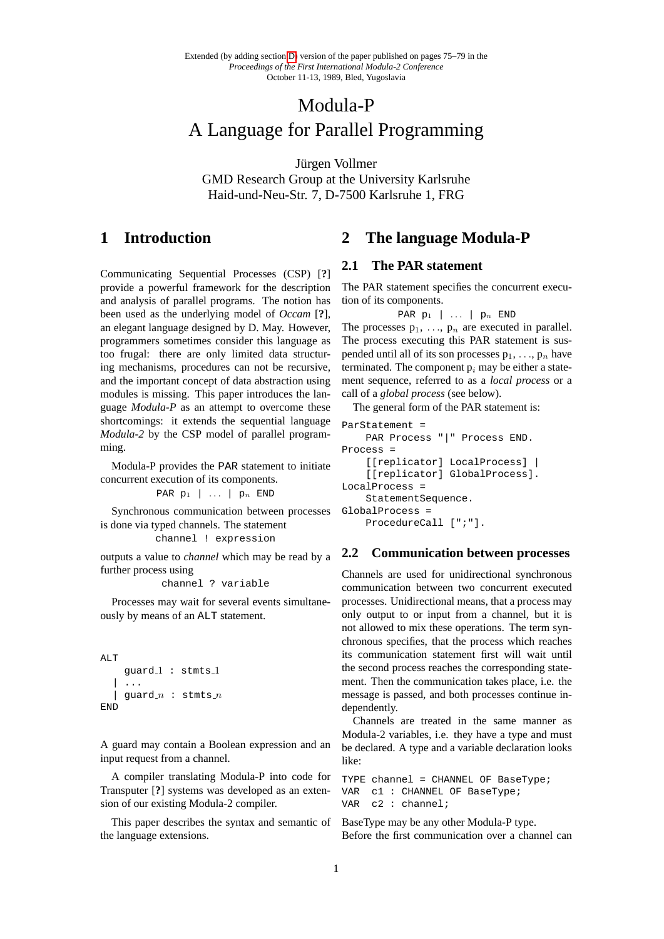# Modula-P A Language for Parallel Programming

Jürgen Vollmer GMD Research Group at the University Karlsruhe Haid-und-Neu-Str. 7, D-7500 Karlsruhe 1, FRG

# **1 Introduction**

Communicating Sequential Processes (CSP) [**?**] provide a powerful framework for the description and analysis of parallel programs. The notion has been used as the underlying model of *Occam* [**?**], an elegant language designed by D. May. However, programmers sometimes consider this language as too frugal: there are only limited data structuring mechanisms, procedures can not be recursive, and the important concept of data abstraction using modules is missing. This paper introduces the language *Modula-P* as an attempt to overcome these shortcomings: it extends the sequential language *Modula-2* by the CSP model of parallel programming.

Modula-P provides the PAR statement to initiate concurrent execution of its components.

PAR  $p_1$  | ... |  $p_n$  END

Synchronous communication between processes is done via typed channels. The statement

channel ! expression

outputs a value to *channel* which may be read by a further process using

channel ? variable

Processes may wait for several events simultaneously by means of an ALT statement.

```
ALT
      guard<sub>-1</sub>: stmts<sub>-1</sub>
      | ...
   | guard n : stmts nEND
```
A guard may contain a Boolean expression and an input request from a channel.

A compiler translating Modula-P into code for Transputer [**?**] systems was developed as an extension of our existing Modula-2 compiler.

This paper describes the syntax and semantic of the language extensions.

## **2 The language Modula-P**

## **2.1 The PAR statement**

The PAR statement specifies the concurrent execution of its components.

```
PAR p_1 | ... | p_n END
```
The processes  $p_1, \ldots, p_n$  are executed in parallel. The process executing this PAR statement is suspended until all of its son processes  $p_1, \ldots, p_n$  have terminated. The component  $p_i$  may be either a statement sequence, referred to as a *local process* or a call of a *global process* (see below).

The general form of the PAR statement is:

```
ParStatement =
    PAR Process "|" Process END.
Process =
    [[replicator] LocalProcess] |
    [[replicator] GlobalProcess].
LocalProcess =
    StatementSequence.
GlobalProcess =
    ProcedureCall [";"].
```
## **2.2 Communication between processes**

Channels are used for unidirectional synchronous communication between two concurrent executed processes. Unidirectional means, that a process may only output to or input from a channel, but it is not allowed to mix these operations. The term synchronous specifies, that the process which reaches its communication statement first will wait until the second process reaches the corresponding statement. Then the communication takes place, i.e. the message is passed, and both processes continue independently.

Channels are treated in the same manner as Modula-2 variables, i.e. they have a type and must be declared. A type and a variable declaration looks like:

```
TYPE channel = CHANNEL OF BaseType;
VAR c1 : CHANNEL OF BaseType;
VAR c2 : channel;
```
BaseType may be any other Modula-P type. Before the first communication over a channel can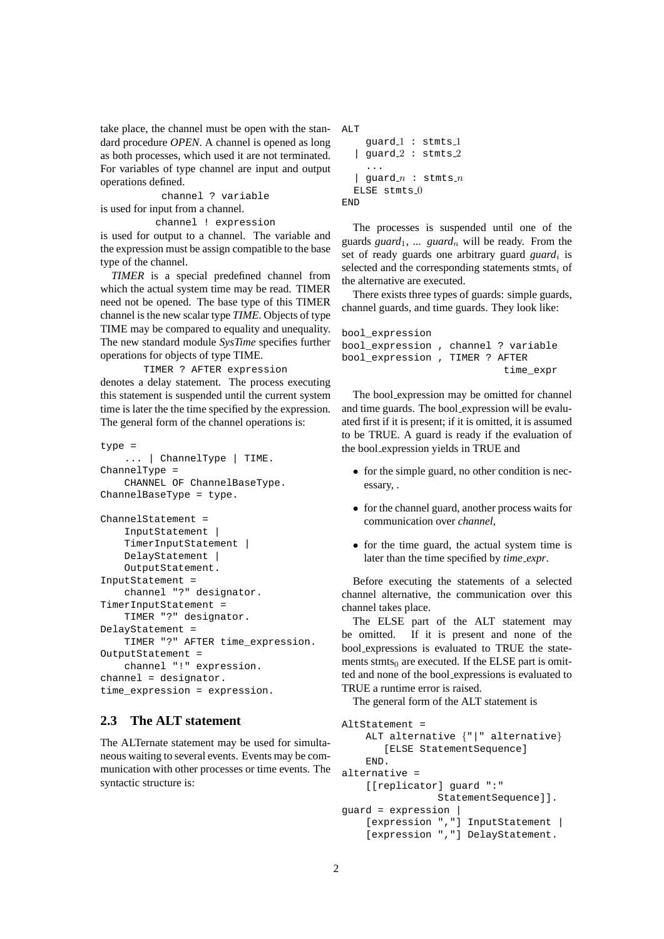take place, the channel must be open with the standard procedure *OPEN*. A channel is opened as long as both processes, which used it are not terminated. For variables of type channel are input and output operations defined.

channel ? variable is used for input from a channel.

channel ! expression

is used for output to a channel. The variable and the expression must be assign compatible to the base type of the channel.

*TIMER* is a special predefined channel from which the actual system time may be read. TIMER need not be opened. The base type of this TIMER channel is the new scalar type *TIME*. Objects of type TIME may be compared to equality and unequality. The new standard module *SysTime* specifies further operations for objects of type TIME.

TIMER ? AFTER expression denotes a delay statement. The process executing this statement is suspended until the current system time is later the the time specified by the expression. The general form of the channel operations is:

```
type =
    ... | ChannelType | TIME.
ChannelType =
    CHANNEL OF ChannelBaseType.
ChannelBaseType = type.
ChannelStatement =
```

```
InputStatement |
    TimerInputStatement |
    DelayStatement |
    OutputStatement.
InputStatement =
    channel "?" designator.
TimerInputStatement =
   TIMER "?" designator.
DelayStatement =
    TIMER "?" AFTER time_expression.
OutputStatement =
    channel "!" expression.
channel = designator.
time_expression = expression.
```
## **2.3 The ALT statement**

The ALTernate statement may be used for simultaneous waiting to several events. Events may be communication with other processes or time events. The syntactic structure is:

```
ALT
    quard_1 : stmts_1| guard 2 : stmts 2
    ...
  | guard n : stmts nELSE stmts 0END
```
The processes is suspended until one of the guards *guard*<sub>1</sub>, ... *guard<sub>n</sub>* will be ready. From the set of ready guards one arbitrary guard *guard*<sub>i</sub> is selected and the corresponding statements stmts $_i$  of the alternative are executed.

There exists three types of guards: simple guards, channel guards, and time guards. They look like:

```
bool_expression
bool_expression , channel ? variable
bool_expression , TIMER ? AFTER
                           time_expr
```
The bool expression may be omitted for channel and time guards. The bool expression will be evaluated first if it is present; if it is omitted, it is assumed to be TRUE. A guard is ready if the evaluation of the bool expression yields in TRUE and

- for the simple guard, no other condition is necessary, .
- for the channel guard, another process waits for communication over *channel*,
- for the time guard, the actual system time is later than the time specified by *time expr*.

Before executing the statements of a selected channel alternative, the communication over this channel takes place.

The ELSE part of the ALT statement may be omitted. If it is present and none of the bool expressions is evaluated to TRUE the statements stmts $<sub>0</sub>$  are executed. If the ELSE part is omit-</sub> ted and none of the bool expressions is evaluated to TRUE a runtime error is raised.

The general form of the ALT statement is

```
AltStatement =
    ALT alternative {"|" alternative}
       [ELSE StatementSequence]
    END.
alternative =
    [[replicator] guard ":"
                StatementSequence]].
guard = expression |
    [expression ","] InputStatement |
    [expression ","] DelayStatement.
```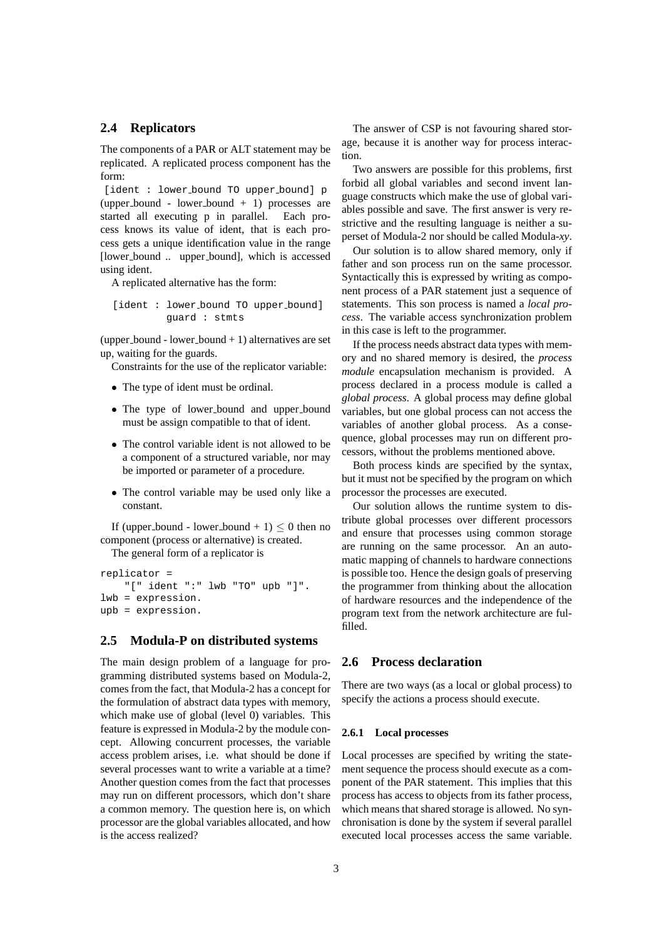## **2.4 Replicators**

The components of a PAR or ALT statement may be replicated. A replicated process component has the form:

[ident : lower bound TO upper bound] p (upper bound - lower bound  $+ 1$ ) processes are started all executing p in parallel. Each process knows its value of ident, that is each process gets a unique identification value in the range [lower bound .. upper bound], which is accessed using ident.

A replicated alternative has the form:

```
[ident : lower bound TO upper bound]
         guard : stmts
```
(upper bound - lower bound  $+1$ ) alternatives are set up, waiting for the guards.

Constraints for the use of the replicator variable:

- The type of ident must be ordinal.
- The type of lower bound and upper bound must be assign compatible to that of ident.
- The control variable ident is not allowed to be a component of a structured variable, nor may be imported or parameter of a procedure.
- The control variable may be used only like a constant.

If (upper bound - lower bound + 1)  $\leq$  0 then no component (process or alternative) is created.

The general form of a replicator is

```
replicator =
    "[" ident ":" lwb "TO" upb "]".
lwb = expression.
upb = expression.
```
## **2.5 Modula-P on distributed systems**

The main design problem of a language for programming distributed systems based on Modula-2, comes from the fact, that Modula-2 has a concept for the formulation of abstract data types with memory, which make use of global (level 0) variables. This feature is expressed in Modula-2 by the module concept. Allowing concurrent processes, the variable access problem arises, i.e. what should be done if several processes want to write a variable at a time? Another question comes from the fact that processes may run on different processors, which don't share a common memory. The question here is, on which processor are the global variables allocated, and how is the access realized?

The answer of CSP is not favouring shared storage, because it is another way for process interaction.

Two answers are possible for this problems, first forbid all global variables and second invent language constructs which make the use of global variables possible and save. The first answer is very restrictive and the resulting language is neither a superset of Modula-2 nor should be called Modula-*xy*.

Our solution is to allow shared memory, only if father and son process run on the same processor. Syntactically this is expressed by writing as component process of a PAR statement just a sequence of statements. This son process is named a *local process*. The variable access synchronization problem in this case is left to the programmer.

If the process needs abstract data types with memory and no shared memory is desired, the *process module* encapsulation mechanism is provided. A process declared in a process module is called a *global process*. A global process may define global variables, but one global process can not access the variables of another global process. As a consequence, global processes may run on different processors, without the problems mentioned above.

Both process kinds are specified by the syntax, but it must not be specified by the program on which processor the processes are executed.

Our solution allows the runtime system to distribute global processes over different processors and ensure that processes using common storage are running on the same processor. An an automatic mapping of channels to hardware connections is possible too. Hence the design goals of preserving the programmer from thinking about the allocation of hardware resources and the independence of the program text from the network architecture are fulfilled.

## **2.6 Process declaration**

There are two ways (as a local or global process) to specify the actions a process should execute.

### **2.6.1 Local processes**

Local processes are specified by writing the statement sequence the process should execute as a component of the PAR statement. This implies that this process has access to objects from its father process, which means that shared storage is allowed. No synchronisation is done by the system if several parallel executed local processes access the same variable.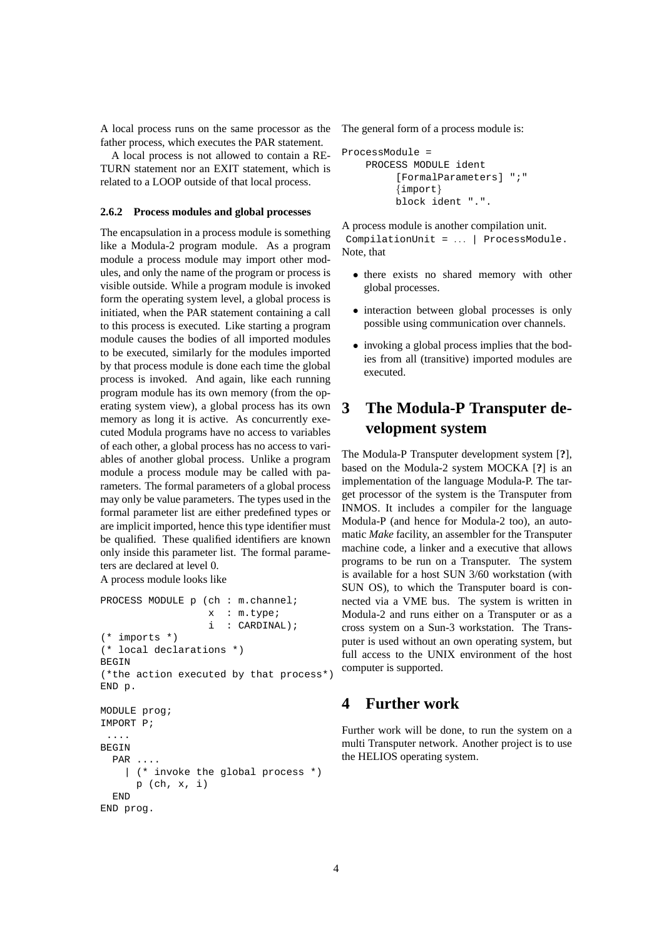A local process runs on the same processor as the father process, which executes the PAR statement.

A local process is not allowed to contain a RE-TURN statement nor an EXIT statement, which is related to a LOOP outside of that local process.

### **2.6.2 Process modules and global processes**

The encapsulation in a process module is something like a Modula-2 program module. As a program module a process module may import other modules, and only the name of the program or process is visible outside. While a program module is invoked form the operating system level, a global process is initiated, when the PAR statement containing a call to this process is executed. Like starting a program module causes the bodies of all imported modules to be executed, similarly for the modules imported by that process module is done each time the global process is invoked. And again, like each running program module has its own memory (from the operating system view), a global process has its own memory as long it is active. As concurrently executed Modula programs have no access to variables of each other, a global process has no access to variables of another global process. Unlike a program module a process module may be called with parameters. The formal parameters of a global process may only be value parameters. The types used in the formal parameter list are either predefined types or are implicit imported, hence this type identifier must be qualified. These qualified identifiers are known only inside this parameter list. The formal parameters are declared at level 0. A process module looks like

```
PROCESS MODULE p (ch : m.channel;
                  x : m.type;
                   i : CARDINAL);
(* imports *)
(* local declarations *)
BEGIN
(*the action executed by that process*)
END p.
MODULE prog;
IMPORT P;
 ....
BEGIN
  PAR ....
    | (* invoke the global process *)
      p (ch, x, i)
  END
```
END prog.

The general form of a process module is:

```
ProcessModule =
    PROCESS MODULE ident
         [FormalParameters] ";"
         {import}
         block ident ".".
```
A process module is another compilation unit.

CompilationUnit = . . . | ProcessModule. Note, that

- there exists no shared memory with other global processes.
- interaction between global processes is only possible using communication over channels.
- invoking a global process implies that the bodies from all (transitive) imported modules are executed.

# **3 The Modula-P Transputer development system**

The Modula-P Transputer development system [**?**], based on the Modula-2 system MOCKA [**?**] is an implementation of the language Modula-P. The target processor of the system is the Transputer from INMOS. It includes a compiler for the language Modula-P (and hence for Modula-2 too), an automatic *Make* facility, an assembler for the Transputer machine code, a linker and a executive that allows programs to be run on a Transputer. The system is available for a host SUN 3/60 workstation (with SUN OS), to which the Transputer board is connected via a VME bus. The system is written in Modula-2 and runs either on a Transputer or as a cross system on a Sun-3 workstation. The Transputer is used without an own operating system, but full access to the UNIX environment of the host computer is supported.

## **4 Further work**

Further work will be done, to run the system on a multi Transputer network. Another project is to use the HELIOS operating system.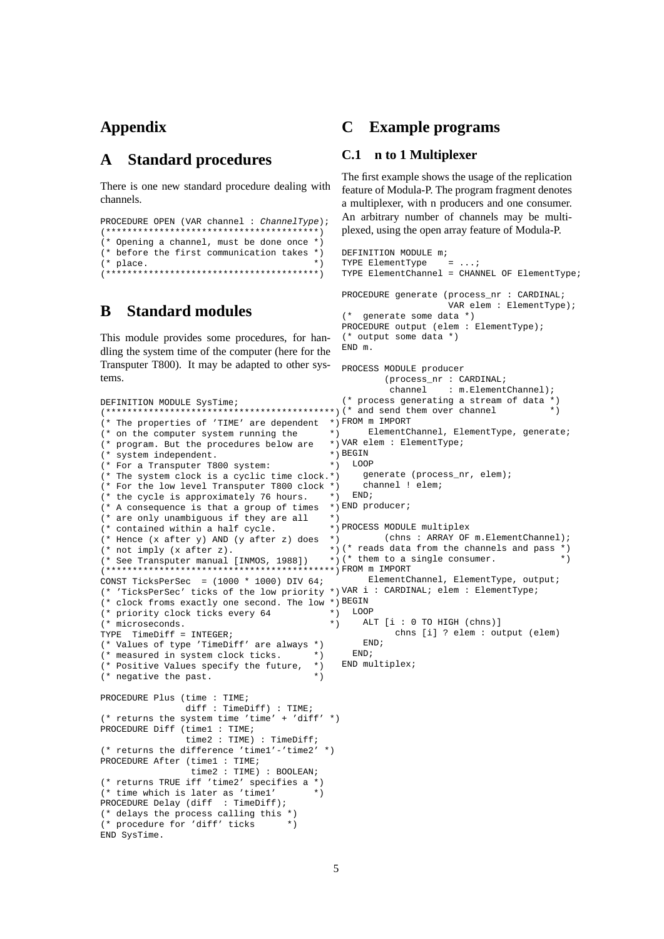# **Appendix**

#### **Standard procedures** A

There is one new standard procedure dealing with channels.

```
PROCEDURE OPEN (VAR channel : ChannelType) ;
(* Opening a channel, must be done once *)
(* before the first communication takes *)
                           \star)
(* place.
*********
```
### **Standard modules** B

DEFINITION MODIILE Systime:

 $(*$  system independent.

 $(* not imply (x after z).$ 

TYPE  $TimeDiff = INTEGR$ ;

(\* time which is later as 'timel' PROCEDURE Delay (diff : TimeDiff); (\* delays the process calling this \*) (\* procedure for 'diff' ticks

(\* negative the past.

 $(*$  microseconds.

END SysTime.

This module provides some procedures, for handling the system time of the computer (here for the Transputer T800). It may be adapted to other systems.

#### $\mathbf C$ **Example programs**

## C.1 n to 1 Multiplexer

The first example shows the usage of the replication feature of Modula-P. The program fragment denotes a multiplexer, with n producers and one consumer. An arbitrary number of channels may be multiplexed, using the open array feature of Modula-P.

```
DEFINITION MODULE m;
                                            TYPE ElementType
                                                              = ...
                                            TYPE ElementChannel = CHANNEL OF ElementType;
                                            PROCEDURE generate (process nr : CARDINAL;
                                                                VAR elem : ElementType);
                                             (* generate some data *)
                                            PROCEDURE output (elem : ElementType);
                                             (* output some data *)END m.
                                            PROCESS MODULE producer
                                                    (process_nr : CARDINAL;
                                                     channel : m.ElementChannel);
                                            (* process generating a stream of data *)
(* The properties of 'TIME' are dependent *) FROM m IMPORT
                                          \star ElementChannel, ElementType, generate;
(* on the computer system running the
                                         *) VAR elem : ElementType;
(* program. But the procedures below are
                                          \star ) BEGIN
                                         \star) LOOP
(* For a Transputer T800 system:
(* The system clock is a cyclic time clock.*)
                                                generate (process_nr, elem);
(* For the low level Transputer T800 clock *)
                                                channel ! elem;
                                         \rightarrow )
                                             END;
(* the cycle is approximately 76 hours.
(* A consequence is that a group of times *) END producer;
                                          \star )
(* are only unambiguous if they are all
(* contained within a half cycle.
                                          *) PROCESS MODULE multiplex
(* Hence (x after y) AND (y after z) does *) (chns : ARRAY OF m.ElementChannel);
                                          \left( * \right) (* reads data from the channels and pass *)
                                          *) (* them to a single consumer.
                                                                                     \star)
(* See Transputer manual [INMOS, 1988])
(************************************************" FROM m IMPORT
CONST TicksPerSec = (1000 * 1000) DIV 64;<br>ElementChannel, ElementType, output;
(* 'TicksPerSec' ticks of the low priority *) VAR i : CARDINAL; elem : ElementType;
(* clock froms exactly one second. The low *) BEGIN
(* priority clock ticks every 64
                                          \star) LOOP
                                          \star )
                                                ALT [i : 0 TO HIGH (chns)]
                                                      chns [i] ? elem : output (elem)
                                               END;
(* Values of type 'TimeDiff' are always *)
                                             END;
(* measured in system clock ticks. *)
                                            END multiplex;
(* Positive Values specify the future, *)
                                       \star)
PROCEDURE Plus (time : TIME;
               diff : TimeDiff) : TIME;
(* returns the system time 'time' + 'diff' *)
PROCEDURE Diff (time1 : TIME;
               time2 : TIME) : TimeDiff;(* returns the difference 'timel'-'time2' *)
PROCEDURE After (time1 : TIME;
                time2 : TIME) : BOOLEAN;
(* returns TRUE iff 'time2' specifies a *)
                                       ^{\star} )
```
5

 $*$   $\overline{)}$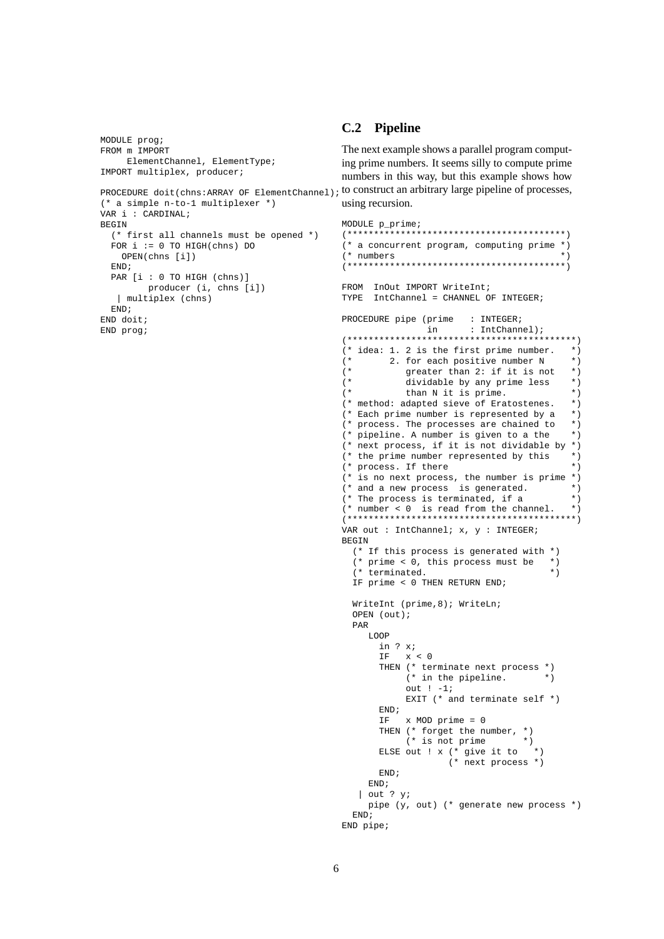```
MODULE prog;
FROM m IMPORT
   ElementChannel, ElementType;
IMPORT multiplex, producer;
PROCEDURE doit (chns: ARRAY OF ElementChannel); to construct an arbitrary large pipeline of processes.
(* a simple n-to-1 multiplexer *)VAR i : CARDINALBEGIN
 (* first all channels must be opened *)
 FOR i := 0 TO HIGH(chns) DO
   OPEN(chns [i])FND:PAR [i : 0 TO HIGH (chns)]
        producer (i, chns [i])
  | multiplex (chns)
  END:END doit;
END prog;
                                               ( *
                                               (*(*( *
                                              BEGIN
                                                 PAR
```
## C.2 Pipeline

The next example shows a parallel program computing prime numbers. It seems silly to compute prime numbers in this way, but this example shows how using recursion.

```
MODULE p_prime;
(* a concurrent program, computing prime *)(* numbers
                                       \mathbf{r}FROM InOut IMPORT WriteInt;
TYPE IntChannel = CHANNEL OF INTEGER;
PROCEDURE pipe (prime : INTEGER;
              in
                      : IntChannel);
(* idea: 1. 2 is the first prime number. *)
                                        \star)
        2. for each positive number N
                                        \star)
          greater than 2: if it is not
           dividable by any prime less
                                        \star)
          than N it is prime.
                                        \star)
(* method: adapted sieve of Eratostenes.
                                        \star)
                                        \star)
(* Each prime number is represented by a
                                        \star)
(* process. The processes are chained to
(* pipeline. A number is given to a the
                                        \star)
(* next process, if it is not dividable by *)
(* the prime number represented by this
                                        \star)
                                        \star)
(* process. If there
(* is no next process, the number is prime *)(* and a new process is generated.
                                       \star)
                                        ^\star )
(* The process is terminated, if a
                                       \star(* number < 0 is read from the channel.
VAR out : IntChannel; x, y : INTEGER;
 (* If this process is generated with *)
  (* prime < \overline{0}, this process must be *)
                                    \star)
 (* terminated.
 IF prime < 0 THEN RETURN END;
 WriteInt (prime, 8); WriteLn;
 OPEN (out);
    LOOP
      in ? x;IF x < 0THEN (* terminate next process *)
          (* in the pipeline. *)
           out ! -1iEXIT (* and terminate self *)END:IF
         x MOD prime = 0
      THEN (* forget the number, *)
          (* is not prime *)
      ELSE out ! x (* give it to *)<br>(* next process *)
      END;
    END;\int out ? v;
    pipe (y, out) (* generate new process *)
 FNDEND pipe;
```